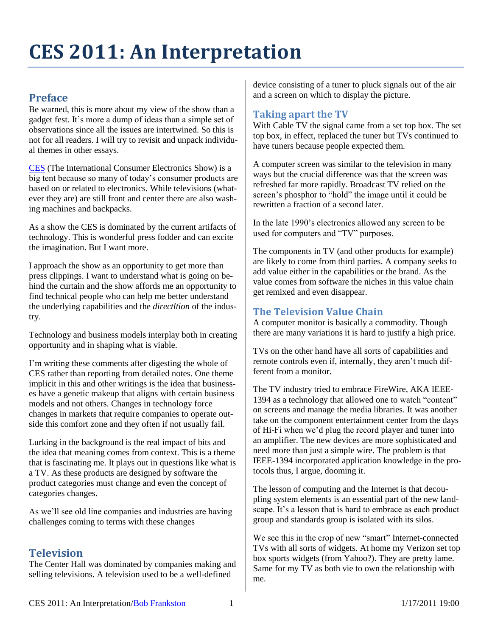# **CES 2011: An Interpretation**

# **Preface**

Be warned, this is more about my view of the show than a gadget fest. It's more a dump of ideas than a simple set of observations since all the issues are intertwined. So this is not for all readers. I will try to revisit and unpack individual themes in other essays.

[CES](http://www.cesweb.org/) (The International Consumer Electronics Show) is a big tent because so many of today's consumer products are based on or related to electronics. While televisions (whatever they are) are still front and center there are also washing machines and backpacks.

As a show the CES is dominated by the current artifacts of technology. This is wonderful press fodder and can excite the imagination. But I want more.

I approach the show as an opportunity to get more than press clippings. I want to understand what is going on behind the curtain and the show affords me an opportunity to find technical people who can help me better understand the underlying capabilities and the *directltion* of the industry.

Technology and business models interplay both in creating opportunity and in shaping what is viable.

I'm writing these comments after digesting the whole of CES rather than reporting from detailed notes. One theme implicit in this and other writings is the idea that businesses have a genetic makeup that aligns with certain business models and not others. Changes in technology force changes in markets that require companies to operate outside this comfort zone and they often if not usually fail.

Lurking in the background is the real impact of bits and the idea that meaning comes from context. This is a theme that is fascinating me. It plays out in questions like what is a TV. As these products are designed by software the product categories must change and even the concept of categories changes.

As we'll see old line companies and industries are having challenges coming to terms with these changes

# **Television**

The Center Hall was dominated by companies making and selling televisions. A television used to be a well-defined

device consisting of a tuner to pluck signals out of the air and a screen on which to display the picture.

## **Taking apart the TV**

With Cable TV the signal came from a set top box. The set top box, in effect, replaced the tuner but TVs continued to have tuners because people expected them.

A computer screen was similar to the television in many ways but the crucial difference was that the screen was refreshed far more rapidly. Broadcast TV relied on the screen's phosphor to "hold" the image until it could be rewritten a fraction of a second later.

In the late 1990's electronics allowed any screen to be used for computers and "TV" purposes.

The components in TV (and other products for example) are likely to come from third parties. A company seeks to add value either in the capabilities or the brand. As the value comes from software the niches in this value chain get remixed and even disappear.

## **The Television Value Chain**

A computer monitor is basically a commodity. Though there are many variations it is hard to justify a high price.

TVs on the other hand have all sorts of capabilities and remote controls even if, internally, they aren't much different from a monitor.

The TV industry tried to embrace FireWire, AKA IEEE-1394 as a technology that allowed one to watch "content" on screens and manage the media libraries. It was another take on the component entertainment center from the days of Hi-Fi when we'd plug the record player and tuner into an amplifier. The new devices are more sophisticated and need more than just a simple wire. The problem is that IEEE-1394 incorporated application knowledge in the protocols thus, I argue, dooming it.

The lesson of computing and the Internet is that decoupling system elements is an essential part of the new landscape. It's a lesson that is hard to embrace as each product group and standards group is isolated with its silos.

We see this in the crop of new "smart" Internet-connected TVs with all sorts of widgets. At home my Verizon set top box sports widgets (from Yahoo?). They are pretty lame. Same for my TV as both vie to own the relationship with me.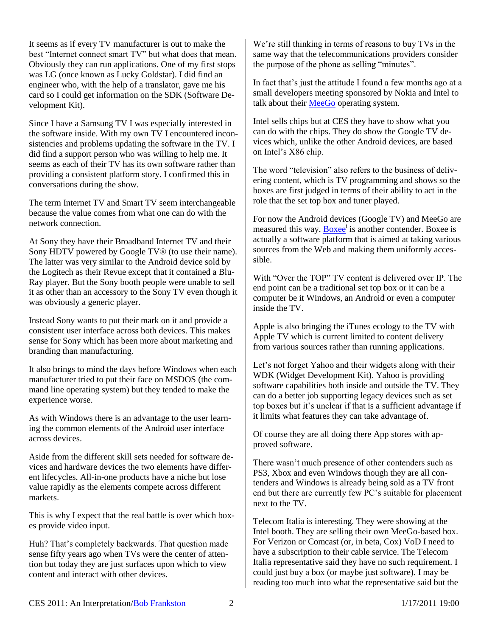It seems as if every TV manufacturer is out to make the best "Internet connect smart TV" but what does that mean. Obviously they can run applications. One of my first stops was LG (once known as Lucky Goldstar). I did find an engineer who, with the help of a translator, gave me his card so I could get information on the SDK (Software Development Kit).

Since I have a Samsung TV I was especially interested in the software inside. With my own TV I encountered inconsistencies and problems updating the software in the TV. I did find a support person who was willing to help me. It seems as each of their TV has its own software rather than providing a consistent platform story. I confirmed this in conversations during the show.

The term Internet TV and Smart TV seem interchangeable because the value comes from what one can do with the network connection.

At Sony they have their Broadband Internet TV and their Sony HDTV powered by Google TV® (to use their name). The latter was very similar to the Android device sold by the Logitech as their Revue except that it contained a Blu-Ray player. But the Sony booth people were unable to sell it as other than an accessory to the Sony TV even though it was obviously a generic player.

Instead Sony wants to put their mark on it and provide a consistent user interface across both devices. This makes sense for Sony which has been more about marketing and branding than manufacturing.

It also brings to mind the days before Windows when each manufacturer tried to put their face on MSDOS (the command line operating system) but they tended to make the experience worse.

As with Windows there is an advantage to the user learning the common elements of the Android user interface across devices.

Aside from the different skill sets needed for software devices and hardware devices the two elements have different lifecycles. All-in-one products have a niche but lose value rapidly as the elements compete across different markets.

This is why I expect that the real battle is over which boxes provide video input.

Huh? That's completely backwards. That question made sense fifty years ago when TVs were the center of attention but today they are just surfaces upon which to view content and interact with other devices.

We're still thinking in terms of reasons to buy TVs in the same way that the telecommunications providers consider the purpose of the phone as selling "minutes".

In fact that's just the attitude I found a few months ago at a small developers meeting sponsored by Nokia and Intel to talk about their [MeeGo](http://meego.com/) operating system.

Intel sells chips but at CES they have to show what you can do with the chips. They do show the Google TV devices which, unlike the other Android devices, are based on Intel's X86 chip.

The word "television" also refers to the business of delivering content, which is TV programming and shows so the boxes are first judged in terms of their ability to act in the role that the set top box and tuner played.

For now the Android devices (Google TV) and MeeGo are measured this way. **Boxee**<sup>i</sup> is another contender. [Boxee](http://www.boxee.tv/) is actually a software platform that is aimed at taking various sources from the Web and making them uniformly accessible.

With "Over the TOP" TV content is delivered over IP. The end point can be a traditional set top box or it can be a computer be it Windows, an Android or even a computer inside the TV.

Apple is also bringing the iTunes ecology to the TV with Apple TV which is current limited to content delivery from various sources rather than running applications.

Let's not forget Yahoo and their widgets along with their WDK (Widget Development Kit). Yahoo is providing software capabilities both inside and outside the TV. They can do a better job supporting legacy devices such as set top boxes but it's unclear if that is a sufficient advantage if it limits what features they can take advantage of.

Of course they are all doing there App stores with approved software.

There wasn't much presence of other contenders such as PS3, Xbox and even Windows though they are all contenders and Windows is already being sold as a TV front end but there are currently few PC's suitable for placement next to the TV.

Telecom Italia is interesting. They were showing at the Intel booth. They are selling their own MeeGo-based box. For Verizon or Comcast (or, in beta, Cox) VoD I need to have a subscription to their cable service. The Telecom Italia representative said they have no such requirement. I could just buy a box (or maybe just software). I may be reading too much into what the representative said but the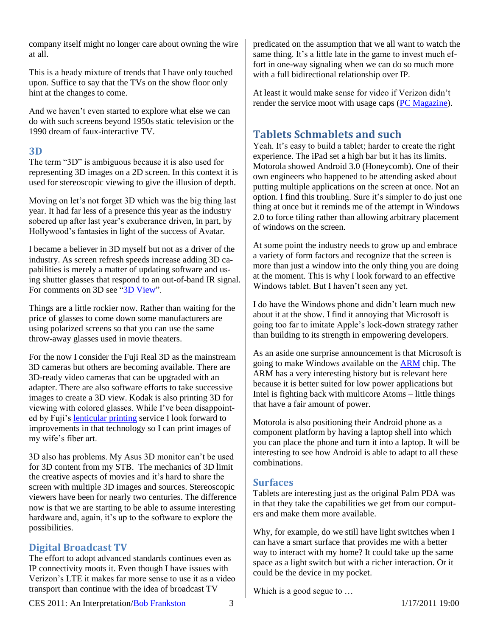company itself might no longer care about owning the wire at all.

This is a heady mixture of trends that I have only touched upon. Suffice to say that the TVs on the show floor only hint at the changes to come.

And we haven't even started to explore what else we can do with such screens beyond 1950s static television or the 1990 dream of faux-interactive TV.

#### **3D**

The term "3D" is ambiguous because it is also used for representing 3D images on a 2D screen. In this context it is used for stereoscopic viewing to give the illusion of depth.

Moving on let's not forget 3D which was the big thing last year. It had far less of a presence this year as the industry sobered up after last year's exuberance driven, in part, by Hollywood's fantasies in light of the success of Avatar.

I became a believer in 3D myself but not as a driver of the industry. As screen refresh speeds increase adding 3D capabilities is merely a matter of updating software and using shutter glasses that respond to an out-of-band IR signal. For comments on 3D see ["3D View"](http://rmf.vc/3DView.ces2011).

Things are a little rockier now. Rather than waiting for the price of glasses to come down some manufacturers are using polarized screens so that you can use the same throw-away glasses used in movie theaters.

For the now I consider the Fuji Real 3D as the mainstream 3D cameras but others are becoming available. There are 3D-ready video cameras that can be upgraded with an adapter. There are also software efforts to take successive images to create a 3D view. Kodak is also printing 3D for viewing with colored glasses. While I've been disappointed by Fuji's [lenticular printing](http://en.wikipedia.org/wiki/Lenticular_printing) service I look forward to improvements in that technology so I can print images of my wife's fiber art.

3D also has problems. My Asus 3D monitor can't be used for 3D content from my STB. The mechanics of 3D limit the creative aspects of movies and it's hard to share the screen with multiple 3D images and sources. Stereoscopic viewers have been for nearly two centuries. The difference now is that we are starting to be able to assume interesting hardware and, again, it's up to the software to explore the possibilities.

## **Digital Broadcast TV**

The effort to adopt advanced standards continues even as IP connectivity moots it. Even though I have issues with Verizon's LTE it makes far more sense to use it as a video transport than continue with the idea of broadcast TV

predicated on the assumption that we all want to watch the same thing. It's a little late in the game to invest much effort in one-way signaling when we can do so much more with a full bidirectional relationship over IP.

At least it would make sense for video if Verizon didn't render the service moot with usage caps (PC [Magazine\)](http://www.pcmag.com/article2/0,2817,2373767,00.asp?obref=obinsite).

# **Tablets Schmablets and such**

Yeah. It's easy to build a tablet; harder to create the right experience. The iPad set a high bar but it has its limits. Motorola showed Android 3.0 (Honeycomb). One of their own engineers who happened to be attending asked about putting multiple applications on the screen at once. Not an option. I find this troubling. Sure it's simpler to do just one thing at once but it reminds me of the attempt in Windows 2.0 to force tiling rather than allowing arbitrary placement of windows on the screen.

At some point the industry needs to grow up and embrace a variety of form factors and recognize that the screen is more than just a window into the only thing you are doing at the moment. This is why I look forward to an effective Windows tablet. But I haven't seen any yet.

I do have the Windows phone and didn't learn much new about it at the show. I find it annoying that Microsoft is going too far to imitate Apple's lock-down strategy rather than building to its strength in empowering developers.

As an aside one surprise announcement is that Microsoft is going to make Windows available on the [ARM](http://www.arm.com/) chip. The ARM has a very interesting history but is relevant here because it is better suited for low power applications but Intel is fighting back with multicore Atoms – little things that have a fair amount of power.

Motorola is also positioning their Android phone as a component platform by having a laptop shell into which you can place the phone and turn it into a laptop. It will be interesting to see how Android is able to adapt to all these combinations.

## **Surfaces**

Tablets are interesting just as the original Palm PDA was in that they take the capabilities we get from our computers and make them more available.

Why, for example, do we still have light switches when I can have a smart surface that provides me with a better way to interact with my home? It could take up the same space as a light switch but with a richer interaction. Or it could be the device in my pocket.

Which is a good segue to ...

CES 2011: An Interpretation/Bob Frankston 3 1/17/2011 19:00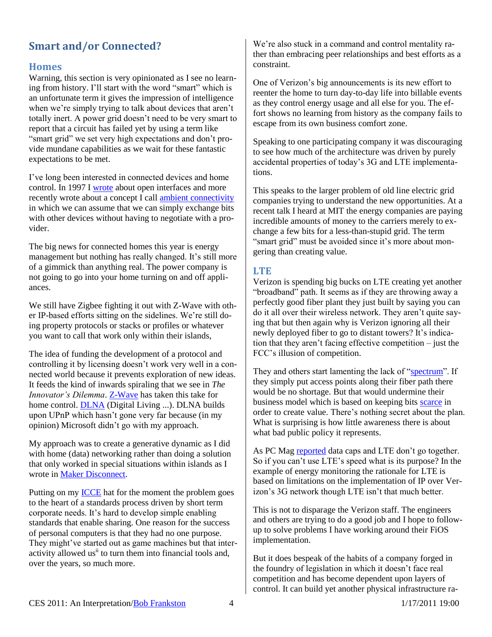# **Smart and/or Connected?**

#### **Homes**

Warning, this section is very opinionated as I see no learning from history. I'll start with the word "smart" which is an unfortunate term it gives the impression of intelligence when we're simply trying to talk about devices that aren't totally inert. A power grid doesn't need to be very smart to report that a circuit has failed yet by using a term like "smart grid" we set very high expectations and don't provide mundane capabilities as we wait for these fantastic expectations to be met.

I've long been interested in connected devices and home control. In 1997 [I wrote](http://rmf.vc/IEEE1997.CES2011) about open interfaces and more recently wrote about a concept I call [ambient connectivity](http://rmf.vc/UAC.CES2011) in which we can assume that we can simply exchange bits with other devices without having to negotiate with a provider.

The big news for connected homes this year is energy management but nothing has really changed. It's still more of a gimmick than anything real. The power company is not going to go into your home turning on and off appliances.

We still have Zigbee fighting it out with Z-Wave with other IP-based efforts sitting on the sidelines. We're still doing property protocols or stacks or profiles or whatever you want to call that work only within their islands,

The idea of funding the development of a protocol and controlling it by licensing doesn't work very well in a connected world because it prevents exploration of new ideas. It feeds the kind of inwards spiraling that we see in *The Innovator's Dilemma*. [Z-Wave](http://www.z-wave.com/) has taken this take for home control. [DLNA](http://www.dlna.org/) (Digital Living ...). DLNA builds upon UPnP which hasn't gone very far because (in my opinion) Microsoft didn't go with my approach.

My approach was to create a generative dynamic as I did with home (data) networking rather than doing a solution that only worked in special situations within islands as I wrote in [Maker Disconnect.](http://rmf.vc/MakerDisconnect.ces2011)

Putting on my [ICCE](http://www.icce.org/) hat for the moment the problem goes to the heart of a standards process driven by short term corporate needs. It's hard to develop simple enabling standards that enable sharing. One reason for the success of personal computers is that they had no one purpose. They might've started out as game machines but that interactivity allowed us<sup>ii</sup> to turn them into financial tools and, over the years, so much more.

We're also stuck in a command and control mentality rather than embracing peer relationships and best efforts as a constraint.

One of Verizon's big announcements is its new effort to reenter the home to turn day-to-day life into billable events as they control energy usage and all else for you. The effort shows no learning from history as the company fails to escape from its own business comfort zone.

Speaking to one participating company it was discouraging to see how much of the architecture was driven by purely accidental properties of today's 3G and LTE implementations.

This speaks to the larger problem of old line electric grid companies trying to understand the new opportunities. At a recent talk I heard at MIT the energy companies are paying incredible amounts of money to the carriers merely to exchange a few bits for a less-than-stupid grid. The term "smart grid" must be avoided since it's more about mongering than creating value.

#### **LTE**

Verizon is spending big bucks on LTE creating yet another "broadband" path. It seems as if they are throwing away a perfectly good fiber plant they just built by saying you can do it all over their wireless network. They aren't quite saying that but then again why is Verizon ignoring all their newly deployed fiber to go to distant towers? It's indication that they aren't facing effective competition – just the FCC's illusion of competition.

They and others start lamenting the lack of ["spectrum"](http://rmf.vc/sd.ces2011). If they simply put access points along their fiber path there would be no shortage. But that would undermine their business model which is based on keeping bit[s scarce](http://rmf.vc/as.ces2011) in order to create value. There's nothing secret about the plan. What is surprising is how little awareness there is about what bad public policy it represents.

As PC Mag [reported](http://www.pcmag.com/article2/0,2817,2373767,00.asp?obref=obinsite) data caps and LTE don't go together. So if you can't use LTE's speed what is its purpose? In the example of energy monitoring the rationale for LTE is based on limitations on the implementation of IP over Verizon's 3G network though LTE isn't that much better.

This is not to disparage the Verizon staff. The engineers and others are trying to do a good job and I hope to followup to solve problems I have working around their FiOS implementation.

But it does bespeak of the habits of a company forged in the foundry of legislation in which it doesn't face real competition and has become dependent upon layers of control. It can build yet another physical infrastructure ra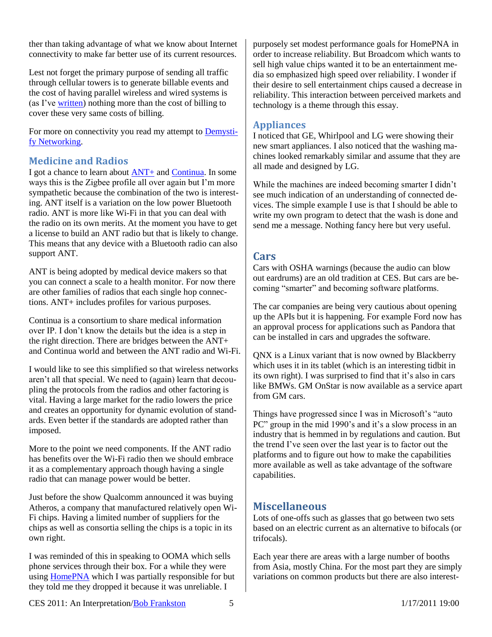ther than taking advantage of what we know about Internet connectivity to make far better use of its current resources.

Lest not forget the primary purpose of sending all traffic through cellular towers is to generate billable events and the cost of having parallel wireless and wired systems is (as I've [written\)](http://rmf.vc/IPTelecomCosts.CES2011) nothing more than the cost of billing to cover these very same costs of billing.

For more on connectivity you read my attempt to **Demysti**[fy Networking.](http://rmf.vc/Demystify.CES2011)

## **Medicine and Radios**

I got a chance to learn about  $\frac{\text{ANT+}}{\text{And}}$  and [Continua.](http://www.continuaalliance.org/index.html) In some ways this is the Zigbee profile all over again but I'm more sympathetic because the combination of the two is interesting. ANT itself is a variation on the low power Bluetooth radio. ANT is more like Wi-Fi in that you can deal with the radio on its own merits. At the moment you have to get a license to build an ANT radio but that is likely to change. This means that any device with a Bluetooth radio can also support ANT.

ANT is being adopted by medical device makers so that you can connect a scale to a health monitor. For now there are other families of radios that each single hop connections. ANT+ includes profiles for various purposes.

Continua is a consortium to share medical information over IP. I don't know the details but the idea is a step in the right direction. There are bridges between the ANT+ and Continua world and between the ANT radio and Wi-Fi.

I would like to see this simplified so that wireless networks aren't all that special. We need to (again) learn that decoupling the protocols from the radios and other factoring is vital. Having a large market for the radio lowers the price and creates an opportunity for dynamic evolution of standards. Even better if the standards are adopted rather than imposed.

More to the point we need components. If the ANT radio has benefits over the Wi-Fi radio then we should embrace it as a complementary approach though having a single radio that can manage power would be better.

Just before the show Qualcomm announced it was buying Atheros, a company that manufactured relatively open Wi-Fi chips. Having a limited number of suppliers for the chips as well as consortia selling the chips is a topic in its own right.

I was reminded of this in speaking to OOMA which sells phone services through their box. For a while they were using [HomePNA](http://www.homepna.org/) which I was partially responsible for but they told me they dropped it because it was unreliable. I

purposely set modest performance goals for HomePNA in order to increase reliability. But Broadcom which wants to sell high value chips wanted it to be an entertainment media so emphasized high speed over reliability. I wonder if their desire to sell entertainment chips caused a decrease in reliability. This interaction between perceived markets and technology is a theme through this essay.

## **Appliances**

I noticed that GE, Whirlpool and LG were showing their new smart appliances. I also noticed that the washing machines looked remarkably similar and assume that they are all made and designed by LG.

While the machines are indeed becoming smarter I didn't see much indication of an understanding of connected devices. The simple example I use is that I should be able to write my own program to detect that the wash is done and send me a message. Nothing fancy here but very useful.

## **Cars**

Cars with OSHA warnings (because the audio can blow out eardrums) are an old tradition at CES. But cars are becoming "smarter" and becoming software platforms.

The car companies are being very cautious about opening up the APIs but it is happening. For example Ford now has an approval process for applications such as Pandora that can be installed in cars and upgrades the software.

QNX is a Linux variant that is now owned by Blackberry which uses it in its tablet (which is an interesting tidbit in its own right). I was surprised to find that it's also in cars like BMWs. GM OnStar is now available as a service apart from GM cars.

Things have progressed since I was in Microsoft's "auto PC" group in the mid 1990's and it's a slow process in an industry that is hemmed in by regulations and caution. But the trend I've seen over the last year is to factor out the platforms and to figure out how to make the capabilities more available as well as take advantage of the software capabilities.

## **Miscellaneous**

Lots of one-offs such as glasses that go between two sets based on an electric current as an alternative to bifocals (or trifocals).

Each year there are areas with a large number of booths from Asia, mostly China. For the most part they are simply variations on common products but there are also interest